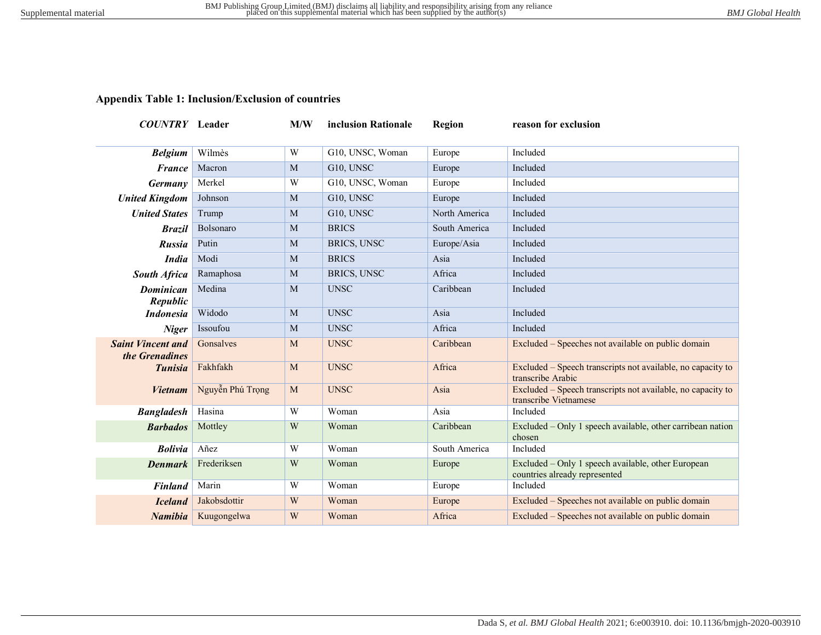## **Appendix Table 1: Inclusion/Exclusion of countries**

| <b>COUNTRY</b> Leader                      |                  | M/W            | inclusion Rationale | Region        | reason for exclusion                                                                 |
|--------------------------------------------|------------------|----------------|---------------------|---------------|--------------------------------------------------------------------------------------|
| <b>Belgium</b>                             | Wilmès           | W              | G10, UNSC, Woman    | Europe        | Included                                                                             |
| <b>France</b>                              | Macron           | M              | G10, UNSC           | Europe        | Included                                                                             |
| <b>Germany</b>                             | Merkel           | W              | G10, UNSC, Woman    | Europe        | Included                                                                             |
| <b>United Kingdom</b>                      | Johnson          | M              | G10, UNSC           | Europe        | Included                                                                             |
| <b>United States</b>                       | Trump            | M              | G10, UNSC           | North America | Included                                                                             |
| <b>Brazil</b>                              | Bolsonaro        | M              | <b>BRICS</b>        | South America | Included                                                                             |
| <b>Russia</b>                              | Putin            | M              | BRICS, UNSC         | Europe/Asia   | Included                                                                             |
| <b>India</b>                               | Modi             | M              | <b>BRICS</b>        | Asia          | Included                                                                             |
| <b>South Africa</b>                        | Ramaphosa        | M              | BRICS, UNSC         | Africa        | Included                                                                             |
| <b>Dominican</b><br>Republic               | Medina           | M              | <b>UNSC</b>         | Caribbean     | Included                                                                             |
| <b>Indonesia</b>                           | Widodo           | M              | <b>UNSC</b>         | Asia          | Included                                                                             |
| <b>Niger</b>                               | Issoufou         | M              | <b>UNSC</b>         | Africa        | Included                                                                             |
| <b>Saint Vincent and</b><br>the Grenadines | Gonsalves        | M              | <b>UNSC</b>         | Caribbean     | Excluded – Speeches not available on public domain                                   |
| <b>Tunisia</b>                             | Fakhfakh         | M              | <b>UNSC</b>         | Africa        | Excluded – Speech transcripts not available, no capacity to<br>transcribe Arabic     |
| <b>Vietnam</b>                             | Nguyễn Phú Trọng | M              | <b>UNSC</b>         | Asia          | Excluded – Speech transcripts not available, no capacity to<br>transcribe Vietnamese |
| <b>Bangladesh</b>                          | Hasina           | $\overline{W}$ | Woman               | Asia          | Included                                                                             |
| <b>Barbados</b>                            | Mottley          | W              | Woman               | Caribbean     | Excluded – Only 1 speech available, other carribean nation<br>chosen                 |
| <b>Bolivia</b>                             | Añez             | W              | Woman               | South America | Included                                                                             |
| <b>Denmark</b>                             | Frederiksen      | W              | Woman               | Europe        | Excluded – Only 1 speech available, other European<br>countries already represented  |
| <b>Finland</b>                             | Marin            | W              | Woman               | Europe        | Included                                                                             |
| <b>Iceland</b>                             | Jakobsdottir     | W              | Woman               | Europe        | Excluded – Speeches not available on public domain                                   |
| Namibia                                    | Kuugongelwa      | W              | Woman               | Africa        | Excluded – Speeches not available on public domain                                   |
|                                            |                  |                |                     |               |                                                                                      |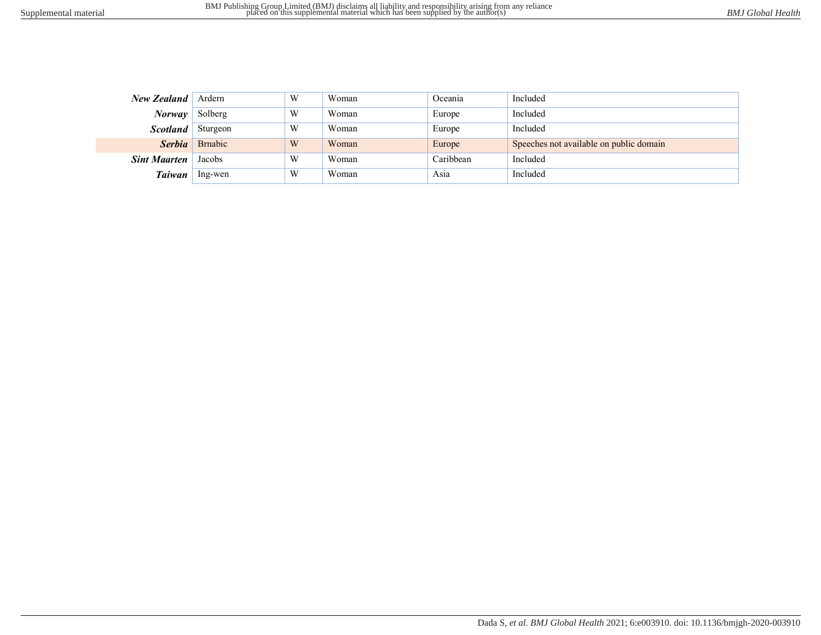| New Zealand Ardern       |                | W | Woman | Oceania   | Included                                |
|--------------------------|----------------|---|-------|-----------|-----------------------------------------|
| <b>Norway</b> Solberg    |                | W | Woman | Europe    | Included                                |
| <b>Scotland</b> Sturgeon |                | W | Woman | Europe    | Included                                |
|                          | Serbia Brnabic | W | Woman | Europe    | Speeches not available on public domain |
| <b>Sint Maarten</b>      | Jacobs         | W | Woman | Caribbean | Included                                |
| Taiwan                   | Ing-wen        | W | Woman | Asia      | Included                                |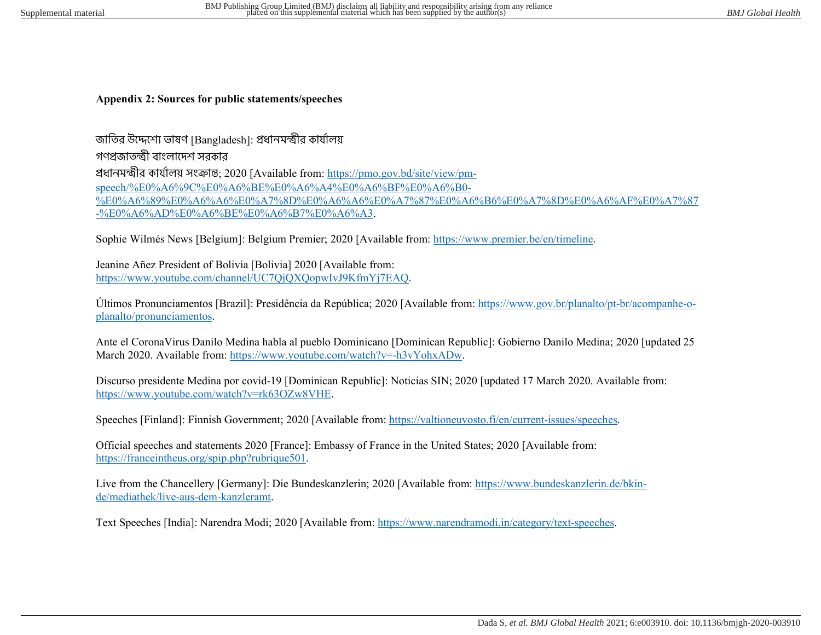**Appendix 2: Sources for public statements/speeches** 

জাতির উদ্দেশ্যে ভাষণ [Bangladesh]: প্রধানমন্ত্রীর কার্যালয় গণপ্রজাতন্ত্রী বাংলাদেশ সবকার প্রধানমন্ত্রীর কার্যালয় সংক্রান্ত; 2020 [Available from: https://pmo.gov.bd/site/view/pmspeech/%E0%A6%9C%E0%A6%BE%E0%A6%A4%E0%A6%BF%E0%A6%B0- %E0%A6%89%E0%A6%A6%E0%A7%8D%E0%A6%A6%E0%A7%87%E0%A6%B6%E0%A7%8D%E0%A6%AF%E0%A7%87 -%E0%A6%AD%E0%A6%BE%E0%A6%B7%E0%A6%A3.

Sophie Wilmés News [Belgium]: Belgium Premier; 2020 [Available from: https://www.premier.be/en/timeline.

Jeanine Añez President of Bolivia [Bolivia] 2020 [Available from: https://www.youtube.com/channel/UC7QjQXQopwIvJ9KfmYj7EAQ.

Últimos Pronunciamentos [Brazil]: Presidência da República; 2020 [Available from: https://www.gov.br/planalto/pt-br/acompanhe-oplanalto/pronunciamentos.

Ante el CoronaVirus Danilo Medina habla al pueblo Dominicano [Dominican Republic]: Gobierno Danilo Medina; 2020 [updated 25 March 2020. Available from: https://www.youtube.com/watch?v=-h3vYohxADw.

Discurso presidente Medina por covid-19 [Dominican Republic]: Noticias SIN; 2020 [updated 17 March 2020. Available from: https://www.youtube.com/watch?v=rk63OZw8VHE.

Speeches [Finland]: Finnish Government; 2020 [Available from: https://valtioneuvosto.fi/en/current-issues/speeches.

Official speeches and statements 2020 [France]: Embassy of France in the United States; 2020 [Available from: https://franceintheus.org/spip.php?rubrique501.

Live from the Chancellery [Germany]: Die Bundeskanzlerin; 2020 [Available from: https://www.bundeskanzlerin.de/bkinde/mediathek/live-aus-dem-kanzleramt.

Text Speeches [India]: Narendra Modi; 2020 [Available from: https://www.narendramodi.in/category/text-speeches.